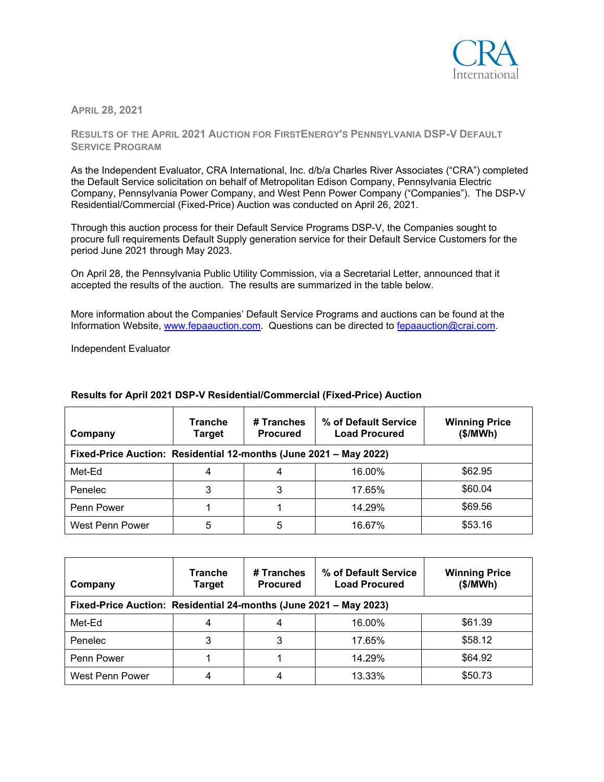

**APRIL 28, 2021**

**RESULTS OF THE APRIL 2021 AUCTION FOR FIRSTENERGY'S PENNSYLVANIA DSP-V DEFAULT SERVICE PROGRAM**

As the Independent Evaluator, CRA International, Inc. d/b/a Charles River Associates ("CRA") completed the Default Service solicitation on behalf of Metropolitan Edison Company, Pennsylvania Electric Company, Pennsylvania Power Company, and West Penn Power Company ("Companies"). The DSP-V Residential/Commercial (Fixed-Price) Auction was conducted on April 26, 2021.

Through this auction process for their Default Service Programs DSP-V, the Companies sought to procure full requirements Default Supply generation service for their Default Service Customers for the period June 2021 through May 2023.

On April 28, the Pennsylvania Public Utility Commission, via a Secretarial Letter, announced that it accepted the results of the auction. The results are summarized in the table below.

More information about the Companies' Default Service Programs and auctions can be found at the Information Website, [www.fepaauction.com.](http://www.fepaauction.com/) Questions can be directed to [fepaauction@crai.com.](mailto:fepaauction@crai.com)

Independent Evaluator

| Company                                                           | <b>Tranche</b><br>Target | # Tranches<br><b>Procured</b> | % of Default Service<br><b>Load Procured</b> | <b>Winning Price</b><br>(\$/MWh) |
|-------------------------------------------------------------------|--------------------------|-------------------------------|----------------------------------------------|----------------------------------|
| Fixed-Price Auction: Residential 12-months (June 2021 - May 2022) |                          |                               |                                              |                                  |
| Met-Ed                                                            |                          | 4                             | 16.00%                                       | \$62.95                          |
| Penelec                                                           |                          | 3                             | 17.65%                                       | \$60.04                          |
| Penn Power                                                        |                          |                               | 14.29%                                       | \$69.56                          |
| West Penn Power                                                   | 5                        | 5                             | 16.67%                                       | \$53.16                          |

## **Results for April 2021 DSP-V Residential/Commercial (Fixed-Price) Auction**

| Company                                                           | Tranche<br><b>Target</b> | # Tranches<br><b>Procured</b> | % of Default Service<br><b>Load Procured</b> | <b>Winning Price</b><br>(\$/MWh) |  |
|-------------------------------------------------------------------|--------------------------|-------------------------------|----------------------------------------------|----------------------------------|--|
| Fixed-Price Auction: Residential 24-months (June 2021 - May 2023) |                          |                               |                                              |                                  |  |
| Met-Ed                                                            |                          | 4                             | 16.00%                                       | \$61.39                          |  |
| Penelec                                                           | 3                        |                               | 17.65%                                       | \$58.12                          |  |
| Penn Power                                                        |                          |                               | 14.29%                                       | \$64.92                          |  |
| West Penn Power                                                   | 4                        | 4                             | 13.33%                                       | \$50.73                          |  |